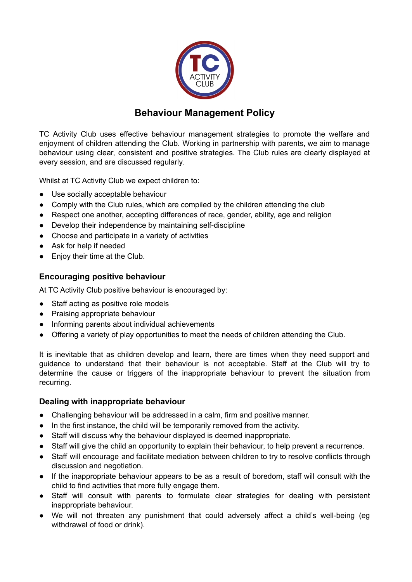

# **Behaviour Management Policy**

TC Activity Club uses effective behaviour management strategies to promote the welfare and enjoyment of children attending the Club. Working in partnership with parents, we aim to manage behaviour using clear, consistent and positive strategies. The Club rules are clearly displayed at every session, and are discussed regularly.

Whilst at TC Activity Club we expect children to:

- Use socially acceptable behaviour
- Comply with the Club rules, which are compiled by the children attending the club
- Respect one another, accepting differences of race, gender, ability, age and religion
- Develop their independence by maintaining self-discipline
- Choose and participate in a variety of activities
- Ask for help if needed
- Enjoy their time at the Club.

## **Encouraging positive behaviour**

At TC Activity Club positive behaviour is encouraged by:

- Staff acting as positive role models
- Praising appropriate behaviour
- Informing parents about individual achievements
- Offering a variety of play opportunities to meet the needs of children attending the Club.

It is inevitable that as children develop and learn, there are times when they need support and guidance to understand that their behaviour is not acceptable. Staff at the Club will try to determine the cause or triggers of the inappropriate behaviour to prevent the situation from recurring.

#### **Dealing with inappropriate behaviour**

- Challenging behaviour will be addressed in a calm, firm and positive manner.
- In the first instance, the child will be temporarily removed from the activity.
- Staff will discuss why the behaviour displayed is deemed inappropriate.
- Staff will give the child an opportunity to explain their behaviour, to help prevent a recurrence.
- Staff will encourage and facilitate mediation between children to try to resolve conflicts through discussion and negotiation.
- If the inappropriate behaviour appears to be as a result of boredom, staff will consult with the child to find activities that more fully engage them.
- Staff will consult with parents to formulate clear strategies for dealing with persistent inappropriate behaviour.
- We will not threaten any punishment that could adversely affect a child's well-being (eg withdrawal of food or drink).